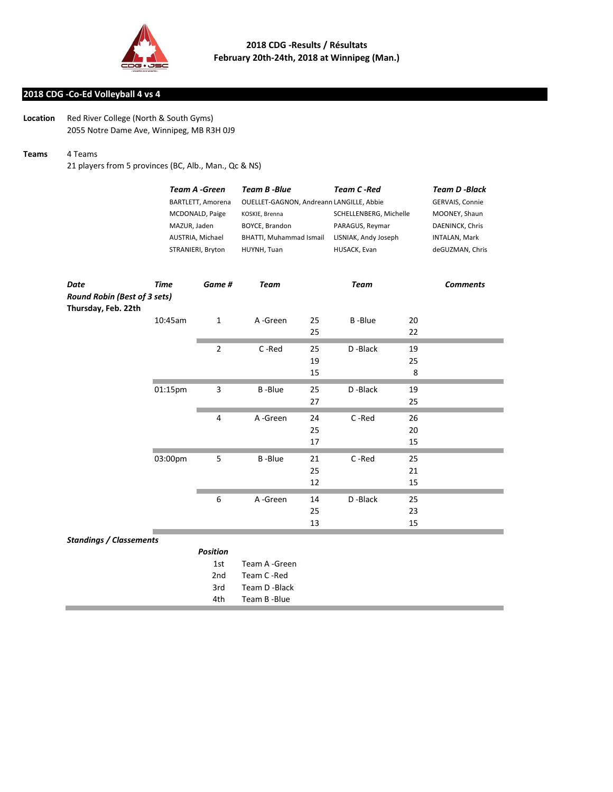

## **2018 CDG -Co-Ed Volleyball 4 vs 4**

**Location** Red River College (North & South Gyms) 2055 Notre Dame Ave, Winnipeg, MB R3H 0J9

## **Teams** 4 Teams

21 players from 5 provinces (BC, Alb., Man., Qc & NS)

|                                     | <b>Team A -Green</b><br>BARTLETT, Amorena<br>MCDONALD, Paige<br>MAZUR, Jaden<br>AUSTRIA, Michael<br>STRANIERI, Bryton |                 | <b>Team B-Blue</b><br>OUELLET-GAGNON, Andreann LANGILLE, Abbie<br>KOSKIE, Brenna<br>BOYCE, Brandon<br>BHATTI, Muhammad Ismail<br>HUYNH, Tuan |    | <b>Team C-Red</b><br>SCHELLENBERG, Michelle<br>PARAGUS, Reymar<br>LISNIAK, Andy Joseph<br>HUSACK, Evan |    | <b>Team D -Black</b><br>GERVAIS, Connie           |  |
|-------------------------------------|-----------------------------------------------------------------------------------------------------------------------|-----------------|----------------------------------------------------------------------------------------------------------------------------------------------|----|--------------------------------------------------------------------------------------------------------|----|---------------------------------------------------|--|
|                                     |                                                                                                                       |                 |                                                                                                                                              |    |                                                                                                        |    |                                                   |  |
|                                     |                                                                                                                       |                 |                                                                                                                                              |    |                                                                                                        |    | MOONEY, Shaun<br>DAENINCK, Chris<br>INTALAN, Mark |  |
|                                     |                                                                                                                       |                 |                                                                                                                                              |    |                                                                                                        |    |                                                   |  |
|                                     |                                                                                                                       |                 |                                                                                                                                              |    |                                                                                                        |    |                                                   |  |
|                                     |                                                                                                                       |                 |                                                                                                                                              |    |                                                                                                        |    | deGUZMAN, Chris                                   |  |
|                                     |                                                                                                                       |                 |                                                                                                                                              |    |                                                                                                        |    |                                                   |  |
| Date                                | <b>Time</b>                                                                                                           | Game #          | <b>Team</b>                                                                                                                                  |    | <b>Team</b>                                                                                            |    | <b>Comments</b>                                   |  |
| <b>Round Robin (Best of 3 sets)</b> |                                                                                                                       |                 |                                                                                                                                              |    |                                                                                                        |    |                                                   |  |
| Thursday, Feb. 22th                 |                                                                                                                       |                 |                                                                                                                                              |    |                                                                                                        |    |                                                   |  |
|                                     | 10:45am                                                                                                               | 1               | A-Green                                                                                                                                      | 25 | <b>B-Blue</b>                                                                                          | 20 |                                                   |  |
|                                     |                                                                                                                       |                 |                                                                                                                                              | 25 |                                                                                                        | 22 |                                                   |  |
|                                     |                                                                                                                       | 2               | C-Red                                                                                                                                        | 25 | D-Black                                                                                                | 19 |                                                   |  |
|                                     |                                                                                                                       |                 |                                                                                                                                              | 19 |                                                                                                        | 25 |                                                   |  |
|                                     |                                                                                                                       |                 |                                                                                                                                              | 15 |                                                                                                        | 8  |                                                   |  |
|                                     |                                                                                                                       |                 |                                                                                                                                              |    |                                                                                                        |    |                                                   |  |
|                                     | 01:15pm                                                                                                               | 3               | <b>B-Blue</b>                                                                                                                                | 25 | D-Black                                                                                                | 19 |                                                   |  |
|                                     |                                                                                                                       |                 |                                                                                                                                              | 27 |                                                                                                        | 25 |                                                   |  |
|                                     |                                                                                                                       | 4               | A-Green                                                                                                                                      | 24 | C-Red                                                                                                  | 26 |                                                   |  |
|                                     |                                                                                                                       |                 |                                                                                                                                              | 25 |                                                                                                        | 20 |                                                   |  |
|                                     |                                                                                                                       |                 |                                                                                                                                              | 17 |                                                                                                        | 15 |                                                   |  |
|                                     | 03:00pm                                                                                                               | 5               | <b>B-Blue</b>                                                                                                                                | 21 | C-Red                                                                                                  | 25 |                                                   |  |
|                                     |                                                                                                                       |                 |                                                                                                                                              | 25 |                                                                                                        | 21 |                                                   |  |
|                                     |                                                                                                                       |                 |                                                                                                                                              | 12 |                                                                                                        | 15 |                                                   |  |
|                                     |                                                                                                                       |                 |                                                                                                                                              |    |                                                                                                        |    |                                                   |  |
|                                     |                                                                                                                       | 6               | A-Green                                                                                                                                      | 14 | D-Black                                                                                                | 25 |                                                   |  |
|                                     |                                                                                                                       |                 |                                                                                                                                              | 25 |                                                                                                        | 23 |                                                   |  |
|                                     |                                                                                                                       |                 |                                                                                                                                              | 13 |                                                                                                        | 15 |                                                   |  |
| <b>Standings / Classements</b>      |                                                                                                                       |                 |                                                                                                                                              |    |                                                                                                        |    |                                                   |  |
|                                     |                                                                                                                       | <b>Position</b> |                                                                                                                                              |    |                                                                                                        |    |                                                   |  |
|                                     |                                                                                                                       | 1st             | Team A -Green                                                                                                                                |    |                                                                                                        |    |                                                   |  |
|                                     |                                                                                                                       | 2nd             | Team C-Red                                                                                                                                   |    |                                                                                                        |    |                                                   |  |
|                                     |                                                                                                                       | 3rd             | Team D-Black                                                                                                                                 |    |                                                                                                        |    |                                                   |  |
|                                     |                                                                                                                       | 4th             | Team B -Blue                                                                                                                                 |    |                                                                                                        |    |                                                   |  |